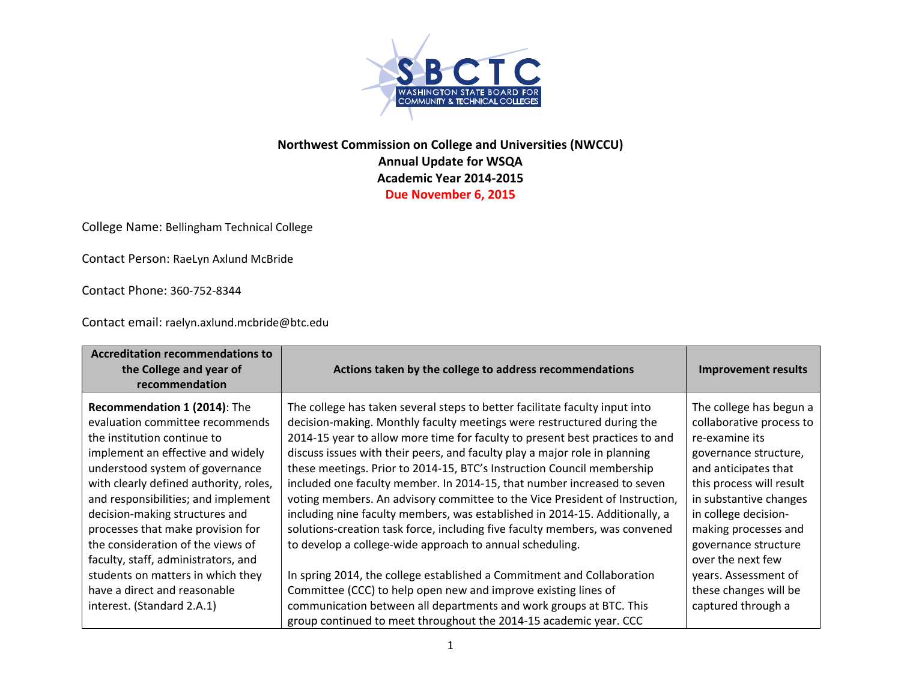

## **Northwest Commission on College and Universities (NWCCU) Annual Update for WSQA Academic Year 2014‐2015 Due November 6, 2015**

College Name: Bellingham Technical College

Contact Person: RaeLyn Axlund McBride

Contact Phone: 360‐752‐8344

Contact email: raelyn.axlund.mcbride@btc.edu

| <b>Accreditation recommendations to</b><br>the College and year of<br>recommendation                                                                                                                                                                                                                                                                                                                       | Actions taken by the college to address recommendations                                                                                                                                                                                                                                                                                                                                                                                                                                                                                                                                                                                                                                                                                                                           | <b>Improvement results</b>                                                                                                                                                                                                                                                |
|------------------------------------------------------------------------------------------------------------------------------------------------------------------------------------------------------------------------------------------------------------------------------------------------------------------------------------------------------------------------------------------------------------|-----------------------------------------------------------------------------------------------------------------------------------------------------------------------------------------------------------------------------------------------------------------------------------------------------------------------------------------------------------------------------------------------------------------------------------------------------------------------------------------------------------------------------------------------------------------------------------------------------------------------------------------------------------------------------------------------------------------------------------------------------------------------------------|---------------------------------------------------------------------------------------------------------------------------------------------------------------------------------------------------------------------------------------------------------------------------|
| Recommendation 1 (2014): The<br>evaluation committee recommends<br>the institution continue to<br>implement an effective and widely<br>understood system of governance<br>with clearly defined authority, roles,<br>and responsibilities; and implement<br>decision-making structures and<br>processes that make provision for<br>the consideration of the views of<br>faculty, staff, administrators, and | The college has taken several steps to better facilitate faculty input into<br>decision-making. Monthly faculty meetings were restructured during the<br>2014-15 year to allow more time for faculty to present best practices to and<br>discuss issues with their peers, and faculty play a major role in planning<br>these meetings. Prior to 2014-15, BTC's Instruction Council membership<br>included one faculty member. In 2014-15, that number increased to seven<br>voting members. An advisory committee to the Vice President of Instruction,<br>including nine faculty members, was established in 2014-15. Additionally, a<br>solutions-creation task force, including five faculty members, was convened<br>to develop a college-wide approach to annual scheduling. | The college has begun a<br>collaborative process to<br>re-examine its<br>governance structure,<br>and anticipates that<br>this process will result<br>in substantive changes<br>in college decision-<br>making processes and<br>governance structure<br>over the next few |
| students on matters in which they<br>have a direct and reasonable<br>interest. (Standard 2.A.1)                                                                                                                                                                                                                                                                                                            | In spring 2014, the college established a Commitment and Collaboration<br>Committee (CCC) to help open new and improve existing lines of<br>communication between all departments and work groups at BTC. This<br>group continued to meet throughout the 2014-15 academic year. CCC                                                                                                                                                                                                                                                                                                                                                                                                                                                                                               | years. Assessment of<br>these changes will be<br>captured through a                                                                                                                                                                                                       |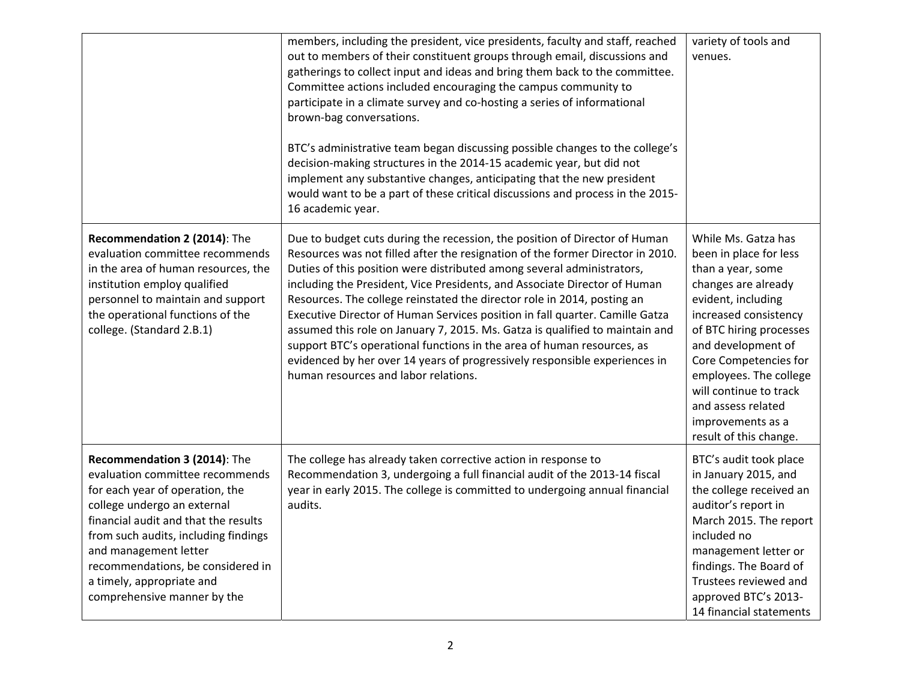|                                                                                                                                                                                                                                                                                                                                             | members, including the president, vice presidents, faculty and staff, reached<br>out to members of their constituent groups through email, discussions and<br>gatherings to collect input and ideas and bring them back to the committee.<br>Committee actions included encouraging the campus community to<br>participate in a climate survey and co-hosting a series of informational<br>brown-bag conversations.<br>BTC's administrative team began discussing possible changes to the college's<br>decision-making structures in the 2014-15 academic year, but did not<br>implement any substantive changes, anticipating that the new president<br>would want to be a part of these critical discussions and process in the 2015-<br>16 academic year.   | variety of tools and<br>venues.                                                                                                                                                                                                                                                                                                             |
|---------------------------------------------------------------------------------------------------------------------------------------------------------------------------------------------------------------------------------------------------------------------------------------------------------------------------------------------|----------------------------------------------------------------------------------------------------------------------------------------------------------------------------------------------------------------------------------------------------------------------------------------------------------------------------------------------------------------------------------------------------------------------------------------------------------------------------------------------------------------------------------------------------------------------------------------------------------------------------------------------------------------------------------------------------------------------------------------------------------------|---------------------------------------------------------------------------------------------------------------------------------------------------------------------------------------------------------------------------------------------------------------------------------------------------------------------------------------------|
| Recommendation 2 (2014): The<br>evaluation committee recommends<br>in the area of human resources, the<br>institution employ qualified<br>personnel to maintain and support<br>the operational functions of the<br>college. (Standard 2.B.1)                                                                                                | Due to budget cuts during the recession, the position of Director of Human<br>Resources was not filled after the resignation of the former Director in 2010.<br>Duties of this position were distributed among several administrators,<br>including the President, Vice Presidents, and Associate Director of Human<br>Resources. The college reinstated the director role in 2014, posting an<br>Executive Director of Human Services position in fall quarter. Camille Gatza<br>assumed this role on January 7, 2015. Ms. Gatza is qualified to maintain and<br>support BTC's operational functions in the area of human resources, as<br>evidenced by her over 14 years of progressively responsible experiences in<br>human resources and labor relations. | While Ms. Gatza has<br>been in place for less<br>than a year, some<br>changes are already<br>evident, including<br>increased consistency<br>of BTC hiring processes<br>and development of<br>Core Competencies for<br>employees. The college<br>will continue to track<br>and assess related<br>improvements as a<br>result of this change. |
| Recommendation 3 (2014): The<br>evaluation committee recommends<br>for each year of operation, the<br>college undergo an external<br>financial audit and that the results<br>from such audits, including findings<br>and management letter<br>recommendations, be considered in<br>a timely, appropriate and<br>comprehensive manner by the | The college has already taken corrective action in response to<br>Recommendation 3, undergoing a full financial audit of the 2013-14 fiscal<br>year in early 2015. The college is committed to undergoing annual financial<br>audits.                                                                                                                                                                                                                                                                                                                                                                                                                                                                                                                          | BTC's audit took place<br>in January 2015, and<br>the college received an<br>auditor's report in<br>March 2015. The report<br>included no<br>management letter or<br>findings. The Board of<br>Trustees reviewed and<br>approved BTC's 2013-<br>14 financial statements                                                                     |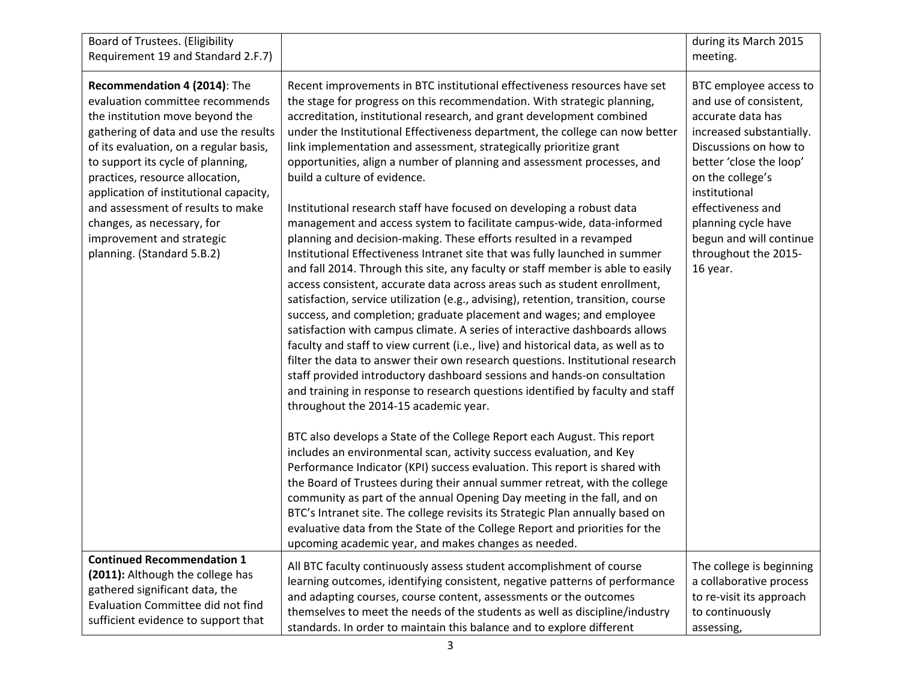| Board of Trustees. (Eligibility<br>Requirement 19 and Standard 2.F.7)                                                                                                                                                                                                                                                                                                                                                                 |                                                                                                                                                                                                                                                                                                                                                                                                                                                                                                                                                                                                                                                                                                                                                                                                                                                                                                                                                                                                                                                                                                                                                                                                                                                                                                                                                                                                                                                                                                                                                                                                                                                                                                                                                                                                                                                                                                                                                                                                                                                                                                                                                                                                                    | during its March 2015<br>meeting.                                                                                                                                                                                                                                                                     |
|---------------------------------------------------------------------------------------------------------------------------------------------------------------------------------------------------------------------------------------------------------------------------------------------------------------------------------------------------------------------------------------------------------------------------------------|--------------------------------------------------------------------------------------------------------------------------------------------------------------------------------------------------------------------------------------------------------------------------------------------------------------------------------------------------------------------------------------------------------------------------------------------------------------------------------------------------------------------------------------------------------------------------------------------------------------------------------------------------------------------------------------------------------------------------------------------------------------------------------------------------------------------------------------------------------------------------------------------------------------------------------------------------------------------------------------------------------------------------------------------------------------------------------------------------------------------------------------------------------------------------------------------------------------------------------------------------------------------------------------------------------------------------------------------------------------------------------------------------------------------------------------------------------------------------------------------------------------------------------------------------------------------------------------------------------------------------------------------------------------------------------------------------------------------------------------------------------------------------------------------------------------------------------------------------------------------------------------------------------------------------------------------------------------------------------------------------------------------------------------------------------------------------------------------------------------------------------------------------------------------------------------------------------------------|-------------------------------------------------------------------------------------------------------------------------------------------------------------------------------------------------------------------------------------------------------------------------------------------------------|
| Recommendation 4 (2014): The<br>evaluation committee recommends<br>the institution move beyond the<br>gathering of data and use the results<br>of its evaluation, on a regular basis,<br>to support its cycle of planning,<br>practices, resource allocation,<br>application of institutional capacity,<br>and assessment of results to make<br>changes, as necessary, for<br>improvement and strategic<br>planning. (Standard 5.B.2) | Recent improvements in BTC institutional effectiveness resources have set<br>the stage for progress on this recommendation. With strategic planning,<br>accreditation, institutional research, and grant development combined<br>under the Institutional Effectiveness department, the college can now better<br>link implementation and assessment, strategically prioritize grant<br>opportunities, align a number of planning and assessment processes, and<br>build a culture of evidence.<br>Institutional research staff have focused on developing a robust data<br>management and access system to facilitate campus-wide, data-informed<br>planning and decision-making. These efforts resulted in a revamped<br>Institutional Effectiveness Intranet site that was fully launched in summer<br>and fall 2014. Through this site, any faculty or staff member is able to easily<br>access consistent, accurate data across areas such as student enrollment,<br>satisfaction, service utilization (e.g., advising), retention, transition, course<br>success, and completion; graduate placement and wages; and employee<br>satisfaction with campus climate. A series of interactive dashboards allows<br>faculty and staff to view current (i.e., live) and historical data, as well as to<br>filter the data to answer their own research questions. Institutional research<br>staff provided introductory dashboard sessions and hands-on consultation<br>and training in response to research questions identified by faculty and staff<br>throughout the 2014-15 academic year.<br>BTC also develops a State of the College Report each August. This report<br>includes an environmental scan, activity success evaluation, and Key<br>Performance Indicator (KPI) success evaluation. This report is shared with<br>the Board of Trustees during their annual summer retreat, with the college<br>community as part of the annual Opening Day meeting in the fall, and on<br>BTC's Intranet site. The college revisits its Strategic Plan annually based on<br>evaluative data from the State of the College Report and priorities for the<br>upcoming academic year, and makes changes as needed. | BTC employee access to<br>and use of consistent,<br>accurate data has<br>increased substantially.<br>Discussions on how to<br>better 'close the loop'<br>on the college's<br>institutional<br>effectiveness and<br>planning cycle have<br>begun and will continue<br>throughout the 2015-<br>16 year. |
| <b>Continued Recommendation 1</b><br>(2011): Although the college has<br>gathered significant data, the<br>Evaluation Committee did not find<br>sufficient evidence to support that                                                                                                                                                                                                                                                   | All BTC faculty continuously assess student accomplishment of course<br>learning outcomes, identifying consistent, negative patterns of performance<br>and adapting courses, course content, assessments or the outcomes<br>themselves to meet the needs of the students as well as discipline/industry<br>standards. In order to maintain this balance and to explore different                                                                                                                                                                                                                                                                                                                                                                                                                                                                                                                                                                                                                                                                                                                                                                                                                                                                                                                                                                                                                                                                                                                                                                                                                                                                                                                                                                                                                                                                                                                                                                                                                                                                                                                                                                                                                                   | The college is beginning<br>a collaborative process<br>to re-visit its approach<br>to continuously<br>assessing,                                                                                                                                                                                      |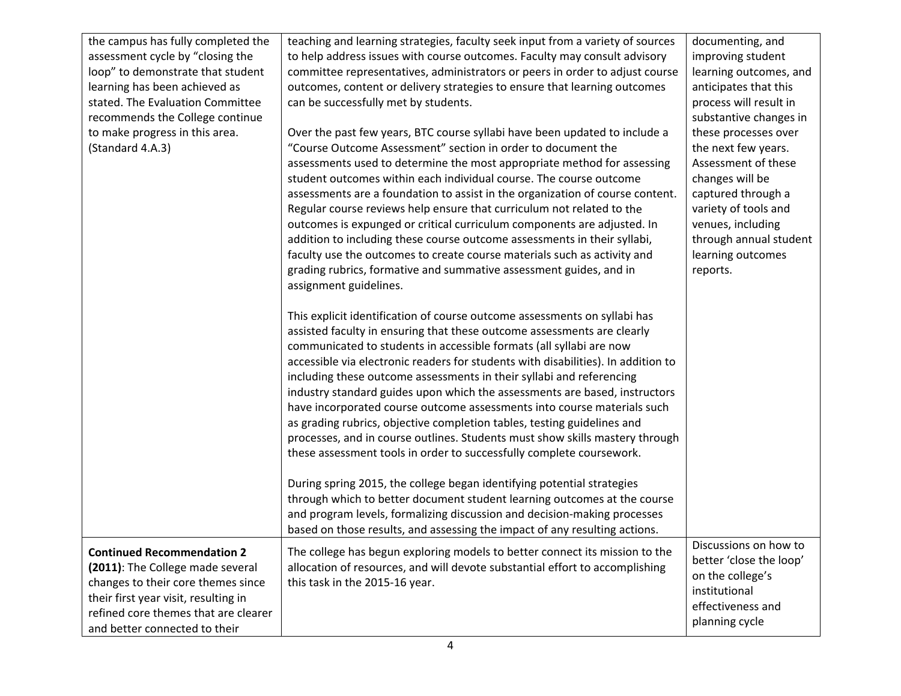| the campus has fully completed the   | teaching and learning strategies, faculty seek input from a variety of sources    | documenting, and                  |
|--------------------------------------|-----------------------------------------------------------------------------------|-----------------------------------|
| assessment cycle by "closing the     | to help address issues with course outcomes. Faculty may consult advisory         | improving student                 |
| loop" to demonstrate that student    | committee representatives, administrators or peers in order to adjust course      | learning outcomes, and            |
| learning has been achieved as        | outcomes, content or delivery strategies to ensure that learning outcomes         | anticipates that this             |
| stated. The Evaluation Committee     | can be successfully met by students.                                              | process will result in            |
| recommends the College continue      |                                                                                   | substantive changes in            |
| to make progress in this area.       | Over the past few years, BTC course syllabi have been updated to include a        | these processes over              |
| (Standard 4.A.3)                     | "Course Outcome Assessment" section in order to document the                      | the next few years.               |
|                                      | assessments used to determine the most appropriate method for assessing           | Assessment of these               |
|                                      | student outcomes within each individual course. The course outcome                | changes will be                   |
|                                      | assessments are a foundation to assist in the organization of course content.     | captured through a                |
|                                      | Regular course reviews help ensure that curriculum not related to the             | variety of tools and              |
|                                      | outcomes is expunged or critical curriculum components are adjusted. In           | venues, including                 |
|                                      | addition to including these course outcome assessments in their syllabi,          | through annual student            |
|                                      | faculty use the outcomes to create course materials such as activity and          | learning outcomes                 |
|                                      | grading rubrics, formative and summative assessment guides, and in                | reports.                          |
|                                      | assignment guidelines.                                                            |                                   |
|                                      |                                                                                   |                                   |
|                                      | This explicit identification of course outcome assessments on syllabi has         |                                   |
|                                      | assisted faculty in ensuring that these outcome assessments are clearly           |                                   |
|                                      | communicated to students in accessible formats (all syllabi are now               |                                   |
|                                      | accessible via electronic readers for students with disabilities). In addition to |                                   |
|                                      | including these outcome assessments in their syllabi and referencing              |                                   |
|                                      | industry standard guides upon which the assessments are based, instructors        |                                   |
|                                      | have incorporated course outcome assessments into course materials such           |                                   |
|                                      | as grading rubrics, objective completion tables, testing guidelines and           |                                   |
|                                      | processes, and in course outlines. Students must show skills mastery through      |                                   |
|                                      | these assessment tools in order to successfully complete coursework.              |                                   |
|                                      |                                                                                   |                                   |
|                                      | During spring 2015, the college began identifying potential strategies            |                                   |
|                                      | through which to better document student learning outcomes at the course          |                                   |
|                                      | and program levels, formalizing discussion and decision-making processes          |                                   |
|                                      | based on those results, and assessing the impact of any resulting actions.        |                                   |
| <b>Continued Recommendation 2</b>    | The college has begun exploring models to better connect its mission to the       | Discussions on how to             |
| (2011): The College made several     | allocation of resources, and will devote substantial effort to accomplishing      | better 'close the loop'           |
| changes to their core themes since   | this task in the 2015-16 year.                                                    | on the college's<br>institutional |
| their first year visit, resulting in |                                                                                   |                                   |
| refined core themes that are clearer |                                                                                   | effectiveness and                 |
| and better connected to their        |                                                                                   | planning cycle                    |